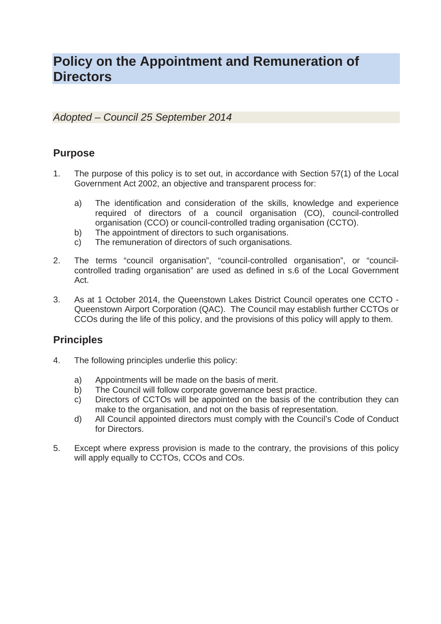# **Policy on the Appointment and Remuneration of Directors**

*Adopted – Council 25 September 2014* 

# **Purpose**

- 1. The purpose of this policy is to set out, in accordance with Section 57(1) of the Local Government Act 2002, an objective and transparent process for:
	- a) The identification and consideration of the skills, knowledge and experience required of directors of a council organisation (CO), council-controlled organisation (CCO) or council-controlled trading organisation (CCTO).
	- b) The appointment of directors to such organisations.
	- c) The remuneration of directors of such organisations.
- 2. The terms "council organisation", "council-controlled organisation", or "councilcontrolled trading organisation" are used as defined in s.6 of the Local Government Act.
- 3. As at 1 October 2014, the Queenstown Lakes District Council operates one CCTO Queenstown Airport Corporation (QAC). The Council may establish further CCTOs or CCOs during the life of this policy, and the provisions of this policy will apply to them.

# **Principles**

- 4. The following principles underlie this policy:
	- a) Appointments will be made on the basis of merit.
	- b) The Council will follow corporate governance best practice.
	- c) Directors of CCTOs will be appointed on the basis of the contribution they can make to the organisation, and not on the basis of representation.
	- d) All Council appointed directors must comply with the Council's Code of Conduct for Directors.
- 5. Except where express provision is made to the contrary, the provisions of this policy will apply equally to CCTOs, CCOs and COs.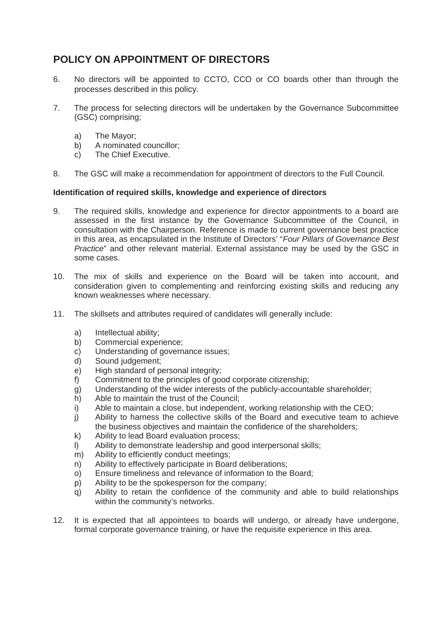# **POLICY ON APPOINTMENT OF DIRECTORS**

- 6. No directors will be appointed to CCTO, CCO or CO boards other than through the processes described in this policy.
- 7. The process for selecting directors will be undertaken by the Governance Subcommittee (GSC) comprising;
	- a) The Mayor;
	- b) A nominated councillor;
	- c) The Chief Executive.
- 8. The GSC will make a recommendation for appointment of directors to the Full Council.

# **Identification of required skills, knowledge and experience of directors**

- 9. The required skills, knowledge and experience for director appointments to a board are assessed in the first instance by the Governance Subcommittee of the Council, in consultation with the Chairperson. Reference is made to current governance best practice in this area, as encapsulated in the Institute of Directors' "*Four Pillars of Governance Best Practice*" and other relevant material. External assistance may be used by the GSC in some cases.
- 10. The mix of skills and experience on the Board will be taken into account, and consideration given to complementing and reinforcing existing skills and reducing any known weaknesses where necessary.
- 11. The skillsets and attributes required of candidates will generally include:
	- a) Intellectual ability;
	- b) Commercial experience;
	- c) Understanding of governance issues;
	- d) Sound judgement;
	- e) High standard of personal integrity;
	- f) Commitment to the principles of good corporate citizenship;
	- g) Understanding of the wider interests of the publicly-accountable shareholder;
	- h) Able to maintain the trust of the Council;
	- i) Able to maintain a close, but independent, working relationship with the CEO;
	- j) Ability to harness the collective skills of the Board and executive team to achieve the business objectives and maintain the confidence of the shareholders;
	- k) Ability to lead Board evaluation process;
	- l) Ability to demonstrate leadership and good interpersonal skills;
	- m) Ability to efficiently conduct meetings;
	- n) Ability to effectively participate in Board deliberations;
	- o) Ensure timeliness and relevance of information to the Board;
	- p) Ability to be the spokesperson for the company;
	- q) Ability to retain the confidence of the community and able to build relationships within the community's networks.
- 12. It is expected that all appointees to boards will undergo, or already have undergone, formal corporate governance training, or have the requisite experience in this area.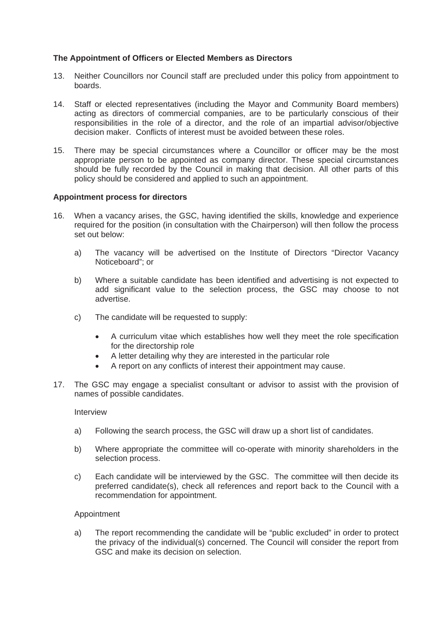### **The Appointment of Officers or Elected Members as Directors**

- 13. Neither Councillors nor Council staff are precluded under this policy from appointment to boards.
- 14. Staff or elected representatives (including the Mayor and Community Board members) acting as directors of commercial companies, are to be particularly conscious of their responsibilities in the role of a director, and the role of an impartial advisor/objective decision maker. Conflicts of interest must be avoided between these roles.
- 15. There may be special circumstances where a Councillor or officer may be the most appropriate person to be appointed as company director. These special circumstances should be fully recorded by the Council in making that decision. All other parts of this policy should be considered and applied to such an appointment.

#### **Appointment process for directors**

- 16. When a vacancy arises, the GSC, having identified the skills, knowledge and experience required for the position (in consultation with the Chairperson) will then follow the process set out below:
	- a) The vacancy will be advertised on the Institute of Directors "Director Vacancy Noticeboard"; or
	- b) Where a suitable candidate has been identified and advertising is not expected to add significant value to the selection process, the GSC may choose to not advertise.
	- c) The candidate will be requested to supply:
		- A curriculum vitae which establishes how well they meet the role specification for the directorship role
		- x A letter detailing why they are interested in the particular role
		- A report on any conflicts of interest their appointment may cause.
- 17. The GSC may engage a specialist consultant or advisor to assist with the provision of names of possible candidates.

Interview

- a) Following the search process, the GSC will draw up a short list of candidates.
- b) Where appropriate the committee will co-operate with minority shareholders in the selection process.
- c) Each candidate will be interviewed by the GSC. The committee will then decide its preferred candidate(s), check all references and report back to the Council with a recommendation for appointment.

#### Appointment

a) The report recommending the candidate will be "public excluded" in order to protect the privacy of the individual(s) concerned. The Council will consider the report from GSC and make its decision on selection.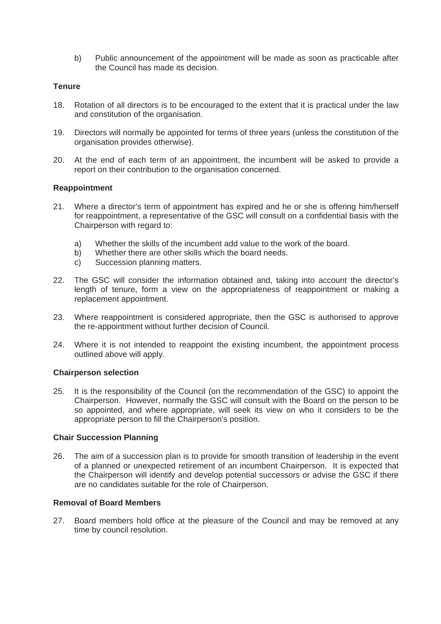b) Public announcement of the appointment will be made as soon as practicable after the Council has made its decision.

### **Tenure**

- 18. Rotation of all directors is to be encouraged to the extent that it is practical under the law and constitution of the organisation.
- 19. Directors will normally be appointed for terms of three years (unless the constitution of the organisation provides otherwise).
- 20. At the end of each term of an appointment, the incumbent will be asked to provide a report on their contribution to the organisation concerned.

#### **Reappointment**

- 21. Where a director's term of appointment has expired and he or she is offering him/herself for reappointment, a representative of the GSC will consult on a confidential basis with the Chairperson with regard to:
	- a) Whether the skills of the incumbent add value to the work of the board.
	- b) Whether there are other skills which the board needs.
	- c) Succession planning matters.
- 22. The GSC will consider the information obtained and, taking into account the director's length of tenure, form a view on the appropriateness of reappointment or making a replacement appointment.
- 23. Where reappointment is considered appropriate, then the GSC is authorised to approve the re-appointment without further decision of Council.
- 24. Where it is not intended to reappoint the existing incumbent, the appointment process outlined above will apply.

#### **Chairperson selection**

25. It is the responsibility of the Council (on the recommendation of the GSC) to appoint the Chairperson. However, normally the GSC will consult with the Board on the person to be so appointed, and where appropriate, will seek its view on who it considers to be the appropriate person to fill the Chairperson's position.

#### **Chair Succession Planning**

26. The aim of a succession plan is to provide for smooth transition of leadership in the event of a planned or unexpected retirement of an incumbent Chairperson. It is expected that the Chairperson will identify and develop potential successors or advise the GSC if there are no candidates suitable for the role of Chairperson.

# **Removal of Board Members**

27. Board members hold office at the pleasure of the Council and may be removed at any time by council resolution.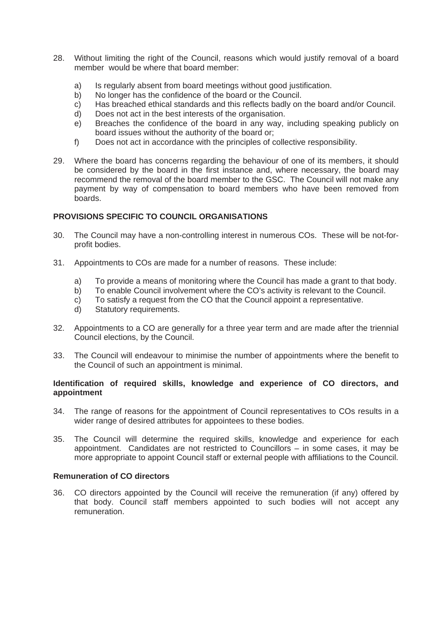- 28. Without limiting the right of the Council, reasons which would justify removal of a board member would be where that board member:
	- a) Is regularly absent from board meetings without good justification.
	- b) No longer has the confidence of the board or the Council.
	- c) Has breached ethical standards and this reflects badly on the board and/or Council.
	- d) Does not act in the best interests of the organisation.
	- e) Breaches the confidence of the board in any way, including speaking publicly on board issues without the authority of the board or;
	- f) Does not act in accordance with the principles of collective responsibility.
- 29. Where the board has concerns regarding the behaviour of one of its members, it should be considered by the board in the first instance and, where necessary, the board may recommend the removal of the board member to the GSC. The Council will not make any payment by way of compensation to board members who have been removed from boards.

# **PROVISIONS SPECIFIC TO COUNCIL ORGANISATIONS**

- 30. The Council may have a non-controlling interest in numerous COs. These will be not-forprofit bodies.
- 31. Appointments to COs are made for a number of reasons. These include:
	- a) To provide a means of monitoring where the Council has made a grant to that body.
	- b) To enable Council involvement where the CO's activity is relevant to the Council.
	- c) To satisfy a request from the CO that the Council appoint a representative.
	- d) Statutory requirements.
- 32. Appointments to a CO are generally for a three year term and are made after the triennial Council elections, by the Council.
- 33. The Council will endeavour to minimise the number of appointments where the benefit to the Council of such an appointment is minimal.

#### **Identification of required skills, knowledge and experience of CO directors, and appointment**

- 34. The range of reasons for the appointment of Council representatives to COs results in a wider range of desired attributes for appointees to these bodies.
- 35. The Council will determine the required skills, knowledge and experience for each appointment. Candidates are not restricted to Councillors – in some cases, it may be more appropriate to appoint Council staff or external people with affiliations to the Council.

### **Remuneration of CO directors**

36. CO directors appointed by the Council will receive the remuneration (if any) offered by that body. Council staff members appointed to such bodies will not accept any remuneration.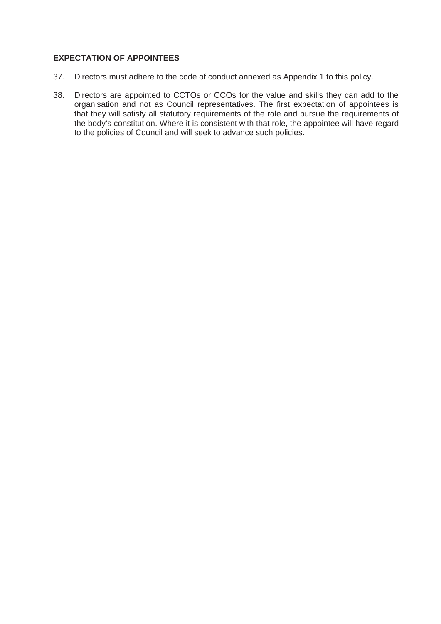# **EXPECTATION OF APPOINTEES**

- 37. Directors must adhere to the code of conduct annexed as Appendix 1 to this policy.
- 38. Directors are appointed to CCTOs or CCOs for the value and skills they can add to the organisation and not as Council representatives. The first expectation of appointees is that they will satisfy all statutory requirements of the role and pursue the requirements of the body's constitution. Where it is consistent with that role, the appointee will have regard to the policies of Council and will seek to advance such policies.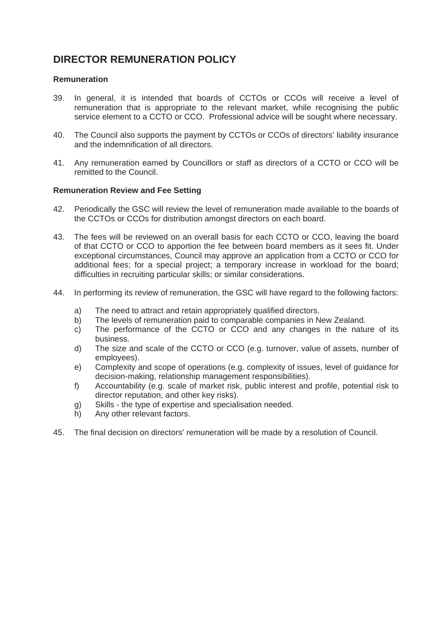# **DIRECTOR REMUNERATION POLICY**

### **Remuneration**

- 39. In general, it is intended that boards of CCTOs or CCOs will receive a level of remuneration that is appropriate to the relevant market, while recognising the public service element to a CCTO or CCO. Professional advice will be sought where necessary.
- 40. The Council also supports the payment by CCTOs or CCOs of directors' liability insurance and the indemnification of all directors.
- 41. Any remuneration earned by Councillors or staff as directors of a CCTO or CCO will be remitted to the Council.

### **Remuneration Review and Fee Setting**

- 42. Periodically the GSC will review the level of remuneration made available to the boards of the CCTOs or CCOs for distribution amongst directors on each board.
- 43. The fees will be reviewed on an overall basis for each CCTO or CCO, leaving the board of that CCTO or CCO to apportion the fee between board members as it sees fit. Under exceptional circumstances, Council may approve an application from a CCTO or CCO for additional fees; for a special project; a temporary increase in workload for the board; difficulties in recruiting particular skills; or similar considerations.
- 44. In performing its review of remuneration, the GSC will have regard to the following factors:
	- a) The need to attract and retain appropriately qualified directors.
	- b) The levels of remuneration paid to comparable companies in New Zealand.
	- c) The performance of the CCTO or CCO and any changes in the nature of its business.
	- d) The size and scale of the CCTO or CCO (e.g. turnover, value of assets, number of employees).
	- e) Complexity and scope of operations (e.g. complexity of issues, level of guidance for decision-making, relationship management responsibilities).
	- f) Accountability (e.g. scale of market risk, public interest and profile, potential risk to director reputation, and other key risks).
	- g) Skills the type of expertise and specialisation needed.
	- h) Any other relevant factors.
- 45. The final decision on directors' remuneration will be made by a resolution of Council.